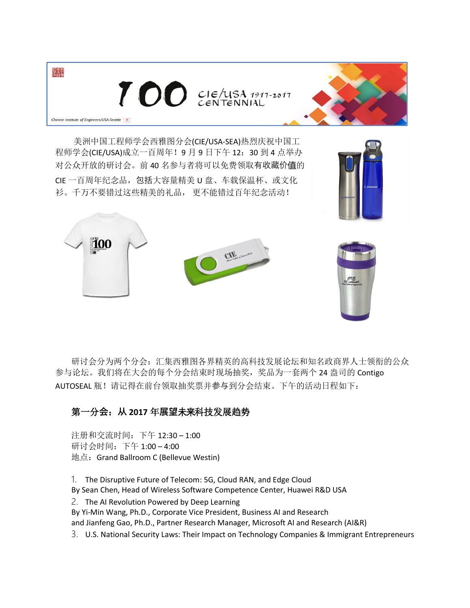

100

衫。千万不要错过这些精美的礼品, 更不能错过百年纪念活动!

研讨会分为两个分会:汇集西雅图各界精英的高科技发展论坛和知名政商界人士领衔的公众 参与论坛。我们将在大会的每个分会结束时现场抽奖,奖品为一套两个 24 盎司的 Contigo AUTOSEAL 瓶!请记得在前台领取抽奖票并参与到分会结束。下午的活动日程如下:

## 第一分**会**:**从 2017** 年**展望**未来科技发展趋势

注册和交流时间: 下午 12:30-1:00 研讨会时间:下午 1:00 – 4:00 地点:Grand Ballroom C (Bellevue Westin)

1. The Disruptive Future of Telecom: 5G, Cloud RAN, and Edge Cloud By Sean Chen, Head of Wireless Software Competence Center, Huawei R&D USA

2. The AI Revolution Powered by Deep Learning

By Yi-Min Wang, Ph.D., Corporate Vice President, Business AI and Research and Jianfeng Gao, Ph.D., Partner Research Manager, Microsoft AI and Research (AI&R)

3. U.S. National Security Laws: Their Impact on Technology Companies & Immigrant Entrepreneurs